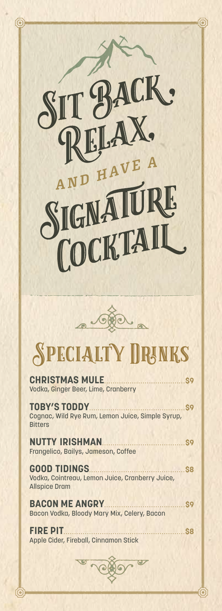# AND HAVE A IGNATURE COCKTAI

BACK

LAX.

(ত



### **SPECIALTY DRANKS**

**CHRISTMAS MULE**......................................**\$9**  Vodka, Ginger Beer, Lime, Cranberry

**TOBY'S TODDY**.............................................**\$9**  Cognac, Wild Rye Rum, Lemon Juice, Simple Syrup, **Bitters** 

**NUTTY IRISHMAN**.......................................**\$9**  Frangelico, Bailys, Jameson, Coffee

**GOOD TIDINGS**.............................................**\$8**  Vodka, Cointreau, Lemon Juice, Cranberry Juice, Allspice Dram

**BACON ME ANGRY**......................................**\$9**  Bacon Vodka, Bloody Mary Mix, Celery, Bacon

**FIRE PIT**.........................................................**\$8**  Apple Cider, Fireball, Cinnamon Stick

<u>(ම)</u>



(0)